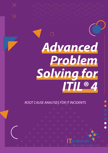# *Advanced Problem Solving for ITIL® 4*

*ROOT CAUSE ANALYSES FOR IT INCIDENTS*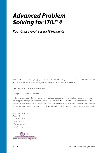## <span id="page-1-0"></span>*Advanced Problem Solving for ITIL® 4*

*Root Cause Analyses for IT Incidents*

ITIL® and IT Infrastructure Library® are (registered) trade mark of AXELOS Limited, used under permission of AXELOS Limited. All rights reserved. The ITIL Accredited Training Organization logo is a trade mark of AXELOS Limited.

Cover design by pikisuperstar - www.freepik.com

Copyright © 2019 ITpreneurs Nederland B.V.

All rights reserved. No part of this publication may be reproduced, distributed, or transmitted in any form or by any means, including photocopying, recording, or other electronic or mechanical methods, without the prior written permission of the publisher, except in the case of brief quotations embodied in critical reviews and certain other noncommercial uses permitted by copyright law. For permission requests, write to the publisher, addressed "Attention: Permissions Coordinator," at the (email) address below.

ITpreneurs Nederland B.V. Weena 242 3012 NJ Rotterdam The Netherlands info@itpreneurs.com https://www.itpreneurs.com/

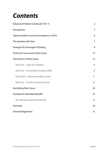## *Contents*

| Advanced Problem Solving for ITIL® 4       | $\overline{2}$ |
|--------------------------------------------|----------------|
| Introduction                               | 5              |
| Typical problems and misconceptions in RCA | 6              |
| The paradox with data                      | $\overline{7}$ |
| Divergent & Convergent Thinking            | 9              |
| <b>Technical Cause versus Root Cause</b>   | 12             |
| The process of Root Cause                  | 15             |
| Step One - State the problem               | 16             |
| Step Two - List problem/incident detail    | 18             |
| Step Three - Evaluate possible causes      | 21             |
| Step Four - Confirm Technical Cause        | 23             |
| <b>Identifying Root Cause</b>              | 25             |
| Company & individual benefits              | 27             |
| The ultimate exponential benefit           | 28             |
| Summary                                    | 30             |
| Acknowledgements                           | 31             |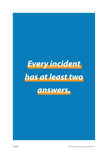# *Every incident has at least two*



Page 4 **4** Advanced Problem Solving for ITIL<sup>®</sup> 4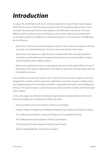## <span id="page-4-0"></span>*Introduction*

In today's ITIL world there is still much confusion about the concept of Root Cause Analysis (RCA). The two terms IT and Root Cause just don't seem to fit together, because Root Cause emanates from years back and is mostly applied in the Manufacturing Industry. There are different levels of confusion about the following, which when understood and embraced could make a whole lot of difference to staff productivity in an IT environment. The difficulties are the following:

- Root Cause is seen as the ultimate objective when it is seen as the last component of three outcomes i.e. Incident Restoration, Technical Cause and only then Root Cause
- Root Cause is perceived as a single dimension impact while when executed properly it could have a multi-dimensional and exponential impact on recurring incidents, incident rate and avoiding other related incidents.
- Root Cause is perceived to be for certain people only and not the responsibility of every IT professional. Root Cause is dependent on the effective deep dive into data analysis and not intended for everyone.

Every incident has at least two answers. One is the Technical Cause (the change or event that triggered the incident) and the second one called Root Cause (the company condition that is the underlying reason for the incident and 'WHY' it happened) that needs to be identified and removed. This second reason is commonly known as the root of the incident or the Root Cause of the incident.

In this white paper we will look at rectifying the general lack of understanding of the role of Root Cause Analysis by investigating the following topics:

- Typical problems and misconceptions in Root Cause Analysis
- Paradox of data, investigating the difference between Data Analysis and Problem-Solving
- The underlying and brilliant concept of Divergent and Convergent Thinking
- The Challenges facing the adoption of Root Cause Analysis
- The Process and Thinking Approach of Root Cause Analysis
- Specific desirable Benefits of Root Cause Analysis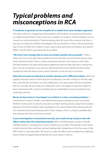## <span id="page-5-0"></span>*Typical problems and misconceptions in RCA*

#### **IT incidents, in general, are too complex for a simple Root Cause Analysis approach.**

The reason why this is happening is that problems and incidents are presenting themselves at a higher level and then it does sound very complex. For instance, real-life examples such as; "servers not communicating" or "Internet banking slow" all involve the customer and there is pressure to remedy the situation immediately. The aim would be to have a robust and proven way of how to "frame" the incident in such a way to drive specificity and define a very specific OBJECT and the FAULT associated with the incident.

**"We never have enough data to solve an incident quickly and accurately."** There is either too much or too little data available and when the team cannot find the answer, they tend to blame the data. There is a third component and that is the relevance of the data. Normally seeking more data would lead to gathering irrelevant data and hence confuse the team. The aim should be to use a process framework that would indicate the kind of data needed and help the team to know which questions to ask and who to ask them.

**Data that we need normally lies in another domain and is difficult to obtain.** When this happens the team seems to think they are not allowed to use their initiative to find the data they need. We talk a lot about cross-silo collaboration, but many teams still have a problem with this concept. We are simply not "walking the talk" in this regard. It would be helpful to have a framework with common templates and an embedded structure of questions that could help with this.

#### **We do not have time to "investigate" an incident in a time-consuming method.** A

formal process however simple is normally frowned upon as being too time-consuming. Problem-solving teams incorrectly associate a problem-solving process using a factor analysis approach with that of lengthy data investigations. You cannot blame them because they do not understand the protocol being used in factor analysis, which is using the available data and working with that to arrive at an answer.

**If your investigation is not pitched correctly, you could end up trying to solve the effects rather than the underlying reasons.** When something goes wrong it normally manifests itself as a consequence or said in another way, an effect. The problem-solver tends to latch onto this effect and then without realizing their mistake tries to find the cause of that effect which is near impossible. The secret is to take the effect and investigate the underlying reason (what has happened) and identify the correct fault to work on.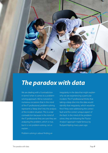<span id="page-6-0"></span>

## *The paradox with data*

We are dealing with a "contradiction" in terms" when it comes to a problemsolving approach. We've noticed on numerous occasions that in the mind of the IT professional, problem-solving represents a "deep dive" into the analysis of the incident situation. This is a real contradiction because in the mind of the IT professional they are sure they are analyzing the problem, which is true, but it is not problem-solving. Let us explain…

Problem-solving is about finding an

irregularity in the data that might explain why we are experiencing a particular incident. The IT professional thinks that taking a deep dive into the data would identify that irregularity, which would be fine if they were addressing the correct fault and the correct unique aspect of the fault. In the mind of the problemsolver, they are following the "Factor Analysis" approach made famous by Rudyard Kipling many years ago.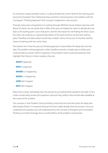For the factor analysis problem-solver, it is about finding the correct fault for the starting point during the Divergent "Fact Gathering" phase and then narrowing down the problem with the Convergent "Thinking Approach" (this concept is explained in next section).

Through many years of experience in working through 300 Root Cause Analysis exercises with about 50 clients, we can testify that in 96% of all cases we helped the client to identify the true fault as the starting point. Up to that point, and the sole reason for not finding the Root Cause, the client was working on a general description of the fault and thus not the best starting point. Therefore, the data analyst would have a better chance of success, if only they had the means of starting with the correct fault.

The bottom line is that the process thinking approach comes before the deep dive into the data. The problem-solving approach, when handled correctly is simple, easy to follow and could provide an answer within 6 questions. The problem-solver would ask questions that highlight the 6 factors in factor analysis, they are;

- **WHAT** happened
- **WHO** is impacted
- **WHERE** is it happening
- **WHEN** is it happening
- **HOW** did it happen
- **WHY** did it happen

Many times a team will already have the answer by just asking these questions factually. In fact, a team would rarely answer all 6 questions, because they seldom have all that data available at the outset of the incident.

The summary is that Problem Solving thinking comes first and only then does the deep dive data analysis follow. It is required because the team might already have the answer. Once you understand this paradox you will understand how the concept of Divergent and Convergent Thinking can further leverage the successful efforts of the problem-solving team.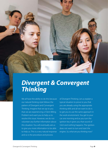<span id="page-8-0"></span>

## *Divergent & Convergent Thinking*

We all have the ability to do this because our natural thinking style follows the pattern of Divergent and Convergent Thinking. Imagine that we say to you that we are experiencing a 'Client Billing Problem' and want you to help us to resolve this issue. However, we do not volunteer any further information about this situation. You will eventually ask us to give you more information to be able to help us. This is a very natural response and so is the procedure and process

of Divergent Thinking. Let us explain a typical situation to prove to you that you are already using the appropriate thinking skills and all we want to do is to get you to use the same approach in the work environment. You get to your car one morning and as you turn the ignition key it gives you that sound of 'click' and nothing happens. The ignition does not want to turn and start the engine. *So, what are you thinking now?*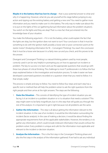**Maybe it is the battery that has lost its charge** – that is your potential answer to what and why it is happening. However, what do you ask yourself at this stage before jumping to any action and ripping out the existing battery and getting a new one? You need to gather more information and you need to make sure it is the battery. The only way to make sure about this is to put on the lights of the car (gathering factual information about the problem situation). You switch on the lights and they are okay! That is a new fact that just entered into the knowledge base of your situation.

You make the following argument – if it is not the battery, what could explain the fact that the lights are okay, but the ignition does not want to turn? Your conclusion is that it must be something to do with the ignition itself, possibly a loose wire or poor connection point at the starter motor? (Analyzing information for fit – Convergent Thinking). You reach the conclusion that it must be a loose wire because it is a fairly new car and you check, and this proves to be the answer.

Divergent and Convergent Thinking is a natural thinking pattern used by most people, correctly used it can be very helpful in prompting you on how to approach an incident or problem. The key to success is to learn and use the appropriate questions that would go with these two phases of critical thinking. The challenge to most IT professionals is to follow the four steps explained below in the investigation and resolution process. To make it easier we have developed customized questions recorded on a question sheet that you need to follow. It is that simple, really!

The process is simple and easy to follow. You need to follow four steps and each step has a specific tool or method that will help the problem-solver to ask the right questions from the right people and then arrive at the right answers. The steps are the following:

- 1. **State the Situation** This consists of identifying the type of incident situation you are facing. Is it an incident or a problem situation or is it a situation that needs a solution? This step might seem to be fairly insignificant, but it is the step that will guide you through the rest of the analysis. It is important to get it right because not all problems are the same.
- 2. **Gather the Information** This step is all about getting the information relevant to the incident situation. In the case of an incident, it would be the information surrounding the incident (factor analysis). In the case of making a decision, it would be about finding the appropriate requirements from all the applicable stakeholders. However, the tendency is to gather any information, which could include irrelevant information that would confuse the problem-solver. Every problem is unique and calls for the information most applicable and relevant to the incident or decision situation.
- 3. **Analyze the Information** This is the first step in the Convergent Thinking phase and also the first step in the analysis of the information gathered. If we had to ask any individual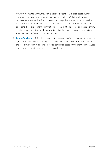how they are managing this, they would not be very confident in their response. They might say something like dealing with a 'process of elimination'. That would be correct but again we would ask 'how?' and in most cases, the problem-solver would not be able to tell us. It is normally a mental process of randomly accessing bits of information and discarding those bits of information that do not seem to fit. This should be the basis of how it is done correctly, but we would suggest it needs to be a more organized, systematic and structured method (more on that method later).

4. **Reach Conclusion** – This is the step where the problem-solving team comes to a mutually agreed realization of what is causing the incident or what would be the best solution for the problem situation. It is normally a logical conclusion based on the information analyzed and narrowed down to provide the most logical answer.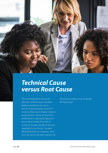<span id="page-11-0"></span>*Technical Cause versus Root Cause*

The misinterpretation of the true definition of "Root Cause" is another obstacle standing in the way to become a good problem-solver in IT incidents. Root Cause Analysis needs to be practiced in relation to how the IT professional is supposed to approach any incident. Initially, they have to restore an incident virtually at all costs, especially if it is a Priority 1 incident affecting Business or Customers. Only once the service has been restored will

they have the opportunity to identify the Root Cause.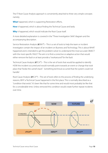The IT Root Cause Analysis approach is conveniently attached to three very simple concepts namely;

**What** happened, which is supporting Restoration efforts,

**How** it happened, which is about finding the Technical Cause and lastly

**Why** it happened, which would indicate the Root Cause itself.

A more detailed explanation is covered in the "Three Investigation Skills" diagram and the accompanying description.

Service Restoration Analysis (*it*SRA™) – This is a set of tools to help the team or incident investigator contain the impact of an incident on Business and Technology. This is about WHAT happened and is intended to get the problem-solver to understand the most accurate OBJECT with the most specific FAULT. The aim is to find a corrective or adaptive action that would either remove the fault or at least provide a "workaround" for the fault.

Technical Cause Analysis (*it*TCA™) – This is the set of tools that would be applied to identify HOW the incident occurred and would normally point towards an event or change that took place that "broke the camel's back". Something technical occurred that the system could not handle!

Root Cause Analysis (*it*RCA™) – This set of tools refers to the process of finding the underlying reasons, WHY a Technical Cause happened in the first place. This is normally described as a "condition that exists". It's been like that for some time and would most probably be like that for a considerable time. Unless removed this condition would create further repeat incidents over time.

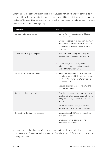Unfortunately, the search for technical and Root Causes is not simple and yet it should be. We believe with the following guidelines any IT professional will be able to improve their chances markedly if followed. Here are a few pointers, which in our experience make a major impact on the success of incident investigation;

| Challenge                             | <b>Guidelines</b>                                                                                                                                               |
|---------------------------------------|-----------------------------------------------------------------------------------------------------------------------------------------------------------------|
| Team cannot make progress             | Do a systematic questioning drill to identify<br>the correct fault.                                                                                             |
|                                       | Ensure you collect your data from the most<br>appropriate information sources closest to<br>the incident situation - be as specific as<br>possible.             |
| Incident seems way to complex         | Reduce the complexity by framing the<br>incident with one OBJECT and one FAULT<br>only.                                                                         |
|                                       | Ensure you get your background<br>information from the most appropriate<br>Subject Matter Expert (SME).                                                         |
| Too much data to work through         | Stop collecting data and just answer the<br>questions that would give information for<br>the What, Who, Where and When factors -<br>be as specific as possible. |
|                                       | Speak to the most appropriate SMEs and<br>not the most senior ones.                                                                                             |
| Not enough data to work with          | Take the data you can get for the moment<br>and frame it into a factual snapshot - even<br>verify the facts if you need to. Be as specific<br>as possible.      |
|                                       | Always determine what you don't know<br>and plan on how to get the information.                                                                                 |
| The quality of the data seems suspect | Speak to the right SMEs and ensure they<br>can verify the data.                                                                                                 |
|                                       | Drive specificity by asking probing<br>interrogative questions.                                                                                                 |

You would notice that there are a few themes running through these guidelines. This is not a coincidence at all! These themes have personally "saved the bacon" of many of our consultants on assignment with a client.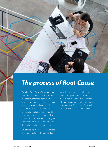<span id="page-14-0"></span>

## *The process of Root Cause*

The aim of the CauseWise process is to assist the problem-solver to determine the best route for the restoration of service and once the service is restored to also help in identifying both the Technical Cause and the Root Cause of the incident. Typically, it would be a situation where there is a technical incident such as; 'website dropping the connection' or 'users cannot log on to their online banking account', etc.

CauseWise is a process that utilizes the Divergent Thinking information/data

gathering approach to establish an incident snapshot with factual data. It then utilizes the Convergent Thinking information analysis intuitively to arrive at a Consensus Restoration, Technical Cause and Root Cause for the incident.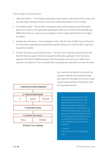<span id="page-15-0"></span>The four steps in the process are:

- 1. State the Problem The incident investigation team needs to identify the most correct and accurate object (thing) and most correct and verified fault (defect) in the incident.
- 2. List Problem Detail The incident investigation team would gather factual information about the incident in the applicable appropriate dimensions of WHAT, WHO, WHERE and WHEN. We do this to create a factual snapshot of the incident and to frame the incident accurately.
- 3. Analyze the Information The investigation team, with the help of SME inputs, will look at the information gathered and hypothesize specific theories on what they feel could have caused the incident.
- 4. Confirm Technical Cause and Root Cause The team now uses logic and gut feel to test the SME theories against the factual snapshot information gathered. Once the team is agreed on the Most Probable Cause(s), they then devise a plan of how to verify which cause(s) is actually true. This is normally done by designing a replication to mimic the fault.



**Ø Check Your Thinking** 

Let's examine the detail of this process by using an example and working through each step with the objective for you to gain a good understanding of how these steps are normally executed.

> *"We were struggling with the 'server communication' problem for weeks looking at theories from A to Z, but only when we were coached to a different statement of 'ABZ Dell server not receiving data packets' did we start looking at the relevant information and we made progress immediately. In fact, we had both the Technical and Root Causes identified and verified within two hours"*

- John Hill Infra-Structure VP for a large Retail **Store**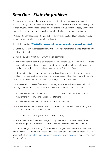### *Step One – State the problem*

The problem statement is the most important step in this process because it frames the accurate starting point for the incident investigation. The success of the incident investigation will rest squarely on the success of establishing the Incident Statement correctly. Did you get that? Unless you get this right, you will not be a highly effective incident investigator.

We suggest a very specific questioning drill to identify the object and fault. Basically you start with the object and clarify it to identify the initial focus.

- 1. Ask the question **'What is the most specific thing you are having a problem with?'**
- 2. Secondly, identify the most specific fault to the point where there is a good understanding of what the fault is.
- 3. Ask the question 'What is wrong with the object/thing?'
- 4. You might want to clarify it even further by asking 'What do you mean by fault "X"?' Let the owner of the incident explain in detail what they mean in the fault description and that explanation might lead you and your team to a new Object and Fault.

The diagram is a list of examples of how to simplify and improve each statement before we could work on the specific incident. In our experience, we would say that in more than 95% of cases we had to help the client to modify their original Incident Statement.

How do we do this in a real-life situation? It is a very well-rehearsed questioning drill. Look carefully at each of the statements, you would notice a few observations such as:

- The revised statement is much more specific and detailed this is one of the critical requirements for formulating an incident statement
- The revised statement has a single OBJECT and also a single FAULT
- The revised statement does not have any information about users, location, timing, size or even the pattern of the incident situation

This questioning drill is displayed in the following example;

Note how the Incident Statement changed during the questioning. It went from 'Servers not communicating' to that of a specific 'Dell server ABC not receiving defined data packet'.

This subtle change in the wording of the statement changed the nature of the OBJECT and also made the FAULT much more specific. Look at a video clip of how this is done in a real-life situation. Click on [www.thinkingdimensionsglobal.com/training-clips](http://www.thinkingdimensionsglobal.com/training-clips) and click on the "Incident Statement" tab.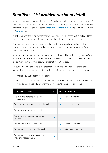## <span id="page-17-0"></span>*Step Two – List problem/incident detail*

In this step, we want to collect the available factual data in all the appropriate dimensions of the incident situation. We would like to create an accurate snapshot of what the incident looks like in various dimensions such as the '**What**', '**Who**', '**Where**, '**When**', and anything that might be '**Unique**' about it.

It is also important to stress the fact that we need to deal with verified factual data and that makes it important to gather information from the right people or right sources.

Another important point to remember is that we do not always have the factual data to answer all the questions, which is okay for the initial purposes of creating an initial factual snapshot of the incident.

Many investigators have the notion that senior people would be the best to get inputs from, when it is actually just the opposite that is true. We need to talk to the people 'closest' to the incident situation to form an accurate snapshot of what has occurred.

We suggest you do this to have the best chance to ensure 100% accuracy of the facts surrounding the incident. Look at the incident situation and basically decide the following;

- What do you know about the incident?
- What don't you know about the incident and who will be the best suitable resource that would be able to provide you with the most accurate and appropriate inputs?

| <b>Information dimension</b>                                     | Yes         | No           | Who to consult            |
|------------------------------------------------------------------|-------------|--------------|---------------------------|
| We know the exact object we have a<br>problem with               |             | $\mathbf x$  | Database operator         |
| We have an accurate description of the fault                     |             | $\mathbf{x}$ | Network specialist        |
| We know which users are effected                                 | $\mathbf x$ |              |                           |
| We know which geographic areas are<br>effected                   | $\mathbf x$ |              |                           |
| We know when the incident started                                |             | $\mathbf{x}$ | <b>Branch IT networks</b> |
| We know the time pattern of the incident                         |             | $\mathbf{x}$ | Infrastructure supervisor |
| We know the phase of operation this<br>incident is happeening in | $\mathbf x$ |              |                           |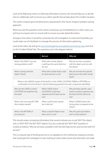Look at the following matrix on Selecting Information Sources, this should help you to decide who to collaborate with to ensure you collect specific factual data about the incident situation.

This matrix is based upon the dimensions represented in the "Factor Analysis" problem-solving approach.

When you ask the questions some names would pop-up immediately but in other cases, you will have to enquire who to consult with to ensure accurate data/information.

Arrange a time when it would be convenient for all investigators to meet and if possible, you could make use of a facilitator to manage the process of information gathering.

Look at the video clip and go to [www.thinkingdimensionsglobal.com/training-clips](http://www.thinkingdimensionsglobal.com/training-clips) and click on the "Incident Detail" tab. (The questions are in the diagram below).

| Is                                                                                                                                                                                      | <b>But not</b>                                                                       | Why not                                                                                              |  |  |
|-----------------------------------------------------------------------------------------------------------------------------------------------------------------------------------------|--------------------------------------------------------------------------------------|------------------------------------------------------------------------------------------------------|--|--|
| What is the OBJECT you are<br>having problems with?                                                                                                                                     | What other similar objects<br>could have the same fault, but<br>do not?              | Why do we have a problem<br>with this object and not with<br>the others?                             |  |  |
| What is wrong with the<br>object? (Fault)                                                                                                                                               | What other similar faults could<br>be observed, but is not?                          | Why do we have this specific<br>fault and not the other similar<br>faults?                           |  |  |
| Where is the UNIQUE impact of the fault? Is it the USERS, LOCATION, TIMING or PATTERN or a<br>combination of some factors? (Ask the following questions for each uniqueness identified) |                                                                                      |                                                                                                      |  |  |
| Who are the USERS or which<br>LOCATIONS are experiencing<br>the fault?                                                                                                                  | Which USERS and/or<br>LOCATIONS could have<br>experienced this fault, but do<br>not? | Why are these specific users<br>and/or locations experiencing<br>the fault and the others do<br>not? |  |  |
| What is the most specific TIME<br>this incident started?                                                                                                                                | When could it have started,<br>but it did not?                                       | What is UNIQUE about this<br>timing when compared to the<br>others?                                  |  |  |
| What is the PATTERN of<br>occurrences?                                                                                                                                                  | What could the Pattern have<br>been, but it is not?                                  | Why this particular Pattern<br>and no other pattern?                                                 |  |  |

This should create contrasting information that would motivate you to ask 'WHY' this object only, or 'WHY NOT" the 'BUT NOT' objects? E.g. You could ask the "WHY NOT" question in context as follows: "Why do we have a problem with the Dell Data Servers and not the Dell XYZ servers?"

This is a natural way of thinking and we try to capitalize on this method by creating a contrast that would get the investigator to start looking at 'what makes sense' and what 'does not make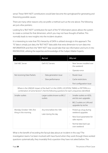sense'. These 'WHY NOT' contributions would later become the springboard for generating and theorizing possible causes.

There are many other reasons why we prefer a method such as the one above. The following are just a few pointers;

Looking for a "BUT NOT" contribution for each of the "IS" information pieces allows the system to create a contrast for that dimension, which you may not have thought of before. This normally leads to new insights into the incident situation.

It is interesting to note that ITIL's hierarchy of DATA is utilized strongly in this approach. The "IS" data is simply just data, the "BUT NOT" data adds that extra dimension to turn data into INFORMATION and then the "WHY NOT" step would take that raw information and turns it into KNOWLEDGE; utilizing the expertise and knowledge of the Subject Matter Experts.

| Is                                                                                                                                                                                      | <b>But not</b>                                   | Why not                                        |  |
|-----------------------------------------------------------------------------------------------------------------------------------------------------------------------------------------|--------------------------------------------------|------------------------------------------------|--|
| Dell ABC Server                                                                                                                                                                         | Dell XYZ Servers                                 |                                                |  |
|                                                                                                                                                                                         |                                                  | Operator error                                 |  |
| Not receiving Data Packets                                                                                                                                                              | Data generation issue                            | Router issue                                   |  |
|                                                                                                                                                                                         | Slow performance                                 | Cache restrictions                             |  |
|                                                                                                                                                                                         |                                                  | Port configuration issue                       |  |
| Where is the UNIQUE impact of the fault? Is it the USERS, LOCATION, TIMING or PATTERN or a<br>combination of some factors? (Ask the following questions for each uniqueness identified) |                                                  |                                                |  |
| Smaller outlets                                                                                                                                                                         | Larger outlets known as BIG Z<br>outlets         | Smaller outlets on ADSL<br>and do own upgrades |  |
|                                                                                                                                                                                         |                                                  | BIG Z outlets on LAN and<br>upgrades by techie |  |
| Monday October 10th, first<br>thing in the morning                                                                                                                                      | Any time before the 10th<br>Later during the day | Picked up a bug during<br>weekend upgrades     |  |
|                                                                                                                                                                                         |                                                  | New Excel parameters for<br>sales reports      |  |
|                                                                                                                                                                                         |                                                  | Normal data back-ups<br>over weekend           |  |

What is the benefit of recording the factual data about an incident in this way? The investigation teams I've been involved with have found when they work through these worked questions systematically, they invariably find a question they have not asked before. This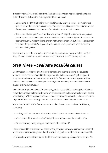<span id="page-20-0"></span>'oversight' normally leads to discovering the 'hidden' information not considered up to this point. This normally leads the investigator to the actual cause.

- Discovering the 'BUT NOT' information also forces you and your team to be much more specific about the incident characteristics. This leads to clarifying the information and also forces you to be clearer about what is factual information and what is not.
- The aim is to be as specific as possible in every area of the problem detail where you are providing an answer in the system. Words such as 'Random' do not fly with this system. We see words such as random, failing, broken, not working, incorrect, out of order, blue screen, and something is dead. We regard these as banned descriptions and not to be used in incident investigations.

You could also use this information to elicit contributions from other stakeholders for their ideas of what could have caused a situation with this 'snapshot' of factual symptoms.

### *Step Three – Evaluate possible causes*

Step three aims to help the investigator to generate and then to evaluate the causes to see whether the team managed to develop a Most Probable Cause (MPC). Once again it is important to have access to the appropriate SME information sources to generate these theories. This step involves Convergent Thinking, so we are trying to narrow down what is causing the incident situation.

How do we suggest you do this? At this stage, you have a verified factual snapshot of all the relevant information to form the basis for an effective screening framework of possible causes. In the Divergent Thinking phase, we concentrated on being factual and specific whereas in this step we will use the intuition, gut feel and logic of the SME team to generate the causes.

We look at the 'WHY NOT' information in the Incident Detail section and ask the following questions;

- Looking at all the 'WHY NOT' information, what do you think caused the incident? or
- What do you think is the 'event' or 'change' that could have caused the incident? or
- Do you have any theory why you think this incident occurred?

The second and third questions are based on the principle that as you learned more about the incident; you most probably started to develop a stronger idea of what could have caused it.

Let's look at our incident situation of the 'Dell Server not receiving data packets' example. We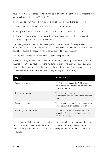have a few 'WHY NOTS' to look at. As we worked through this incident our team started to feel strongly about the listed four 'WHY NOTS';

- 1. The 'upgrade sent remotely' which could have been 'botched' due to lack of skills
- 2. The 'new turnover formula' that caused an issue with smaller outlets
- 3. An 'upgrade bug' that might have been introduced during the weekend upgrades
- 4. The introduction of 'new Excel spreadsheet' parameters, which would have needed individual upgrades from the smaller outlets.

The investigation SME team had to develop a hypothesis for each of these pieces of information. In other words, they had to describe exactly how each of the 'WHY NOT' elements could have caused the 'data packets not being received by the ABC server'.

The fully phrased Possible Causes in the Diagram were produced.

Which cause do you think is the correct one? At this point, you might have a few plausible theories of what could have caused the incident, but there is no guarantee that your cause would be the correct one. You might not even know why your possible cause could be the correct one, let alone explaining to your colleagues why you are thinking so.

| Why not                     | Possible causes                                                                                                      |
|-----------------------------|----------------------------------------------------------------------------------------------------------------------|
| Upgrade sent remotely       | The ABC Server upgrade for ADSL users sent<br>remotely and the operators did not know how<br>to do this upgrade.     |
| New turnover formula        | The new way the turnover figures are<br>determined is causing a conflict and does not<br>transmit.                   |
| Upgrade bug in code         | There is a coding mistake in the upgrade code<br>causing transmission reception problems.                            |
| Now using Excel spreadsheet | The new Excel sheet parameters not loaded<br>by smaller ADSL users, causing a sync conflict,<br>affecting receiving. |

This dilemma will bring us to the last step in the process, which is how to confirm the correct Technical Cause for the incident. There are two sub-steps in this step. The first is to test our theories on paper and the second to isolate the most probable causes to be verified in the workplace.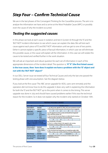## <span id="page-22-0"></span>*Step Four – Confirm Technical Cause*

We are in the last phases of the Convergent Thinking for the CauseWise process. The aim is to analyze the information we have and so arrive at the Most Probable Cause (MPC) or possibly even the cause of why the incident occurred.

#### *Testing the suggested causes*

In this phase we look at each cause in isolation and test it (screen it) through the 'IS' and the 'BUT NOT' incident information to see which cause can explain the data. We will test each cause against each piece of 'IS' and 'BUT NOT' information until we get to one of two points. Either it cannot explain a specific piece of factual information, in which case we will eliminate this possible cause, or the cause will explain all the information. In this case we will isolate this cause to be tested and verified further in the work situation.

We will ask an important and robust question for each set of information in each of the appropriate dimensions of the incident detail. The question is; **'If "X" (the first listed cause) is the true cause, then how does it explain we have a problem with the 'IS' object and not with the 'BUT NOT' object?'**

In our DELL Server issue we tested all four Technical Causes and only the last one passed the testing phase with one assumption. See the diagram below.

If you look at the first cause 'The ABC server upgrade for ADSL users sent remotely and the operators did not know how to do this upgrade', it does very well in explaining the information for both the 'IS' and the 'BUT NOT' up to the point when it comes to the timing. This server upgrade was done in July and should have caused problems earlier if this was the technical reason for the incident. So it does not explain why the incident only started on October 10th.

|                                                                                                                                  |                                                                     | <b>TESTING POSSIBLE CAUSES</b>                                                                                                                                                                                                |  |                                                                                                                                                                         |                       |  |  |
|----------------------------------------------------------------------------------------------------------------------------------|---------------------------------------------------------------------|-------------------------------------------------------------------------------------------------------------------------------------------------------------------------------------------------------------------------------|--|-------------------------------------------------------------------------------------------------------------------------------------------------------------------------|-----------------------|--|--|
|                                                                                                                                  | <b>QUE NOT</b>                                                      |                                                                                                                                                                                                                               |  |                                                                                                                                                                         | <b>POSSIBLE CAUSE</b> |  |  |
| What Object?<br>Dell ABC Server                                                                                                  | <b>But Not?</b><br><b>Dell XYZ Servers</b>                          | 1. The ABC server upgrade for ADSL users sent remotely to smaller<br>outlets which in-house operators did not know how to upgrade.                                                                                            |  |                                                                                                                                                                         |                       |  |  |
| What Fault?                                                                                                                      | <b>But Not?</b>                                                     |                                                                                                                                                                                                                               |  |                                                                                                                                                                         |                       |  |  |
| Not receiving<br><b>Data Packets</b>                                                                                             | <b>Doffa</b><br>٠<br>generation.<br><b>kuss</b><br>slow             | No, this upgrade was done in July and should have happened<br>before Monday October 10 <sup>th</sup><br>2. The new way the turnover figures are determined is causing a<br>conflict and does not allow for any transmissions. |  |                                                                                                                                                                         |                       |  |  |
|                                                                                                                                  | performance                                                         |                                                                                                                                                                                                                               |  |                                                                                                                                                                         | ĸ                     |  |  |
| Where is the UNIQUE impoct of the<br>fault? Is it the USIRS, LOCATION.<br>TIMING or PATTIEN or a combination<br>of some factors? |                                                                     | No. should affect all outlets.<br>1. There is a coding mistake in the upgrade code causing<br>transmission receiving problems for small outlets.                                                                              |  |                                                                                                                                                                         |                       |  |  |
| <b>What Location?</b>                                                                                                            | <b>Eut Not?</b>                                                     |                                                                                                                                                                                                                               |  |                                                                                                                                                                         | ĸ                     |  |  |
| Smaller outlets                                                                                                                  | Larger outlets<br>known as BIG Z<br>cadlets                         |                                                                                                                                                                                                                               |  | No. should affect all outlets<br>4. The new Excel sheet parameters not loaded by smaller ADSL<br>outlets, causing a sync conflict, affecting receiving of data packets. |                       |  |  |
| What Timing?                                                                                                                     | <b>But Not?</b>                                                     |                                                                                                                                                                                                                               |  |                                                                                                                                                                         | Assumption            |  |  |
| Monday October<br>10 <sup>th</sup> , first thing in<br>the morning                                                               | Any time before<br>the 10 <sup>th</sup> or later<br>cluring the day | Assumption: Only if all the technicians in these outlets did not<br>receive the instruction.                                                                                                                                  |  |                                                                                                                                                                         |                       |  |  |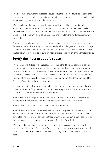This is the same argument for the second cause about the 'turnover figures calculation' that does well by satisfying all the information sources but does not explain why the smaller outlets are experiencing the incident and the bigger ones do not.

When you look at the fourth technical reason you will notice this cause satisfies all the information in each one of the FOUR dimensions. For dimension number three (Smaller Outlets) we had to make an assumption that all the technicians in the smaller outlets were not aware of this change with the Excel Spread Sheet and therefore the incident occurred with them only.

Assumptions are allowed and are an important element in the thinking at this stage of the CauseWise process. The assumption needs to be plausible and is generally made at this stage either because of lack of understanding or lack of information. The assumption will be one of the first activities to be tackled in our next stage of the analysis, which is the 'verification' stage.

#### *Verify the most probable cause*

This is an important stage in the process because this is the difference between theory and reality. Up to this point we've done well by using a structured process to arrive at what we believe to be the most probable cause of the incident. However, this is on paper and we need to verify this thinking with real life, on the job verification. Only when the assumptions and the stated Technical Cause have been verified to be true can we state that we've found the Technical Cause of why the incident occurred.

The team needs to look at the most probable cause(s) identified and set an action plan on how to go about verifying the assumptions and ultimately the Most Probable Cause. The team needs to ask a combination of the following questions;

What would be the cheapest, surest, safest, fastest and least disruptive way to verify each assumption? This exact same question is also repeated for the actual cause itself.

What will be the verification action and who will do it by when?

When doing the verification of a specific assumption and it appears that the assumption is 'not holding water', then that assumption receives an "X" and that particular cause is then eliminated. The converse is also true and that is when the assumption is verified as being true, then we progress to continue verifying the actual Technical Cause itself.

With the right information sources and gathering correct and accurate information, this meeting should last about 20 minutes. We have recorded cases where it only took about 5 minutes to determine the technical reason for an outage and a phone call was all that was needed.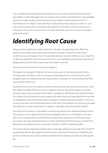<span id="page-24-0"></span>This CauseWise methodology also lends itself to a much quicker and shorter format, which many Major Incident Managers are now using to narrow down and identify the most probable causes for a major incident. The shortened version would normally only look at the "IS" information for the 'Object', 'Fault' and what is 'unique' about that particular incident. In such cases we are working with incomplete information and should be careful not to jump to a conclusion. One way to overcome this is to make absolutely sure that we have the Incident Statement correct.

# *Identifying Root Cause*

Okay, you have solved the incident and fixed it. You feel very good about the effort that produced the answer and as the euphoria declines, you get a call that the exact same incident has occurred again. How is this possible, because you were 100% sure you 'solved' the incident for good! This is because up to this point, we've identified the Technical Cause (how it happened) and not the Root Cause (why the incident occurred).

Have you ever heard the term 'recurring incidents'?

The above is an example of that and we are sure you were on the receiving end of some of these types of incidents, which is annoying, frustrating and time-consuming. The most probable reason for experiencing recurring incidents is because we have not found the Root Cause of that incident yet.

Sometimes the root of an incident is another technical reason. We found this to be true in less than 20% of incidents. Where you have a suspicion that the root of the situation is another technical reason, then we need to do another CauseWise to identify the next technical reason. You need to continue with this until you get to the level where you have reached the root that is embedded in some kind of 'soft issue' or 'company condition that exists' situation. Strictly it is wrong to say that a second technical reason is the root of the situation. The root of any incident eventually lies in some component of a systemic or people component of the incident.

Once the technical reason is identified, we need to do a Root Cause analysis thinking exercise. This exercise is not as rigid as the technical investigation, but it is an investigation in its own right. If you suspect there is another technical reason that caused our first Technical Cause you need to do a stair stepping exercise to check why the first Technical Cause occurred. The following is an example of such an exercise involving a "5 WHY's" questioning drill;

Let's look at the stair stepping method, which is basically utilizing the principle of the "5 WHY's" questioning method. (See diagram below) You start with the technical reason identified and put that on the top of our stairs and then ask; Why did this happen and what was that caused by?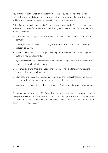You continue with this until you reached the area where you do not know the answer. Eventually you will end at a spot where you are not sure anymore and that spot, in most cases, will be a possible systemic or people reason for the root of the situation.

A Root Cause is normally some kind of "company condition that exists" and unless removed it will cause continuous future incidents. The following are some examples of past "Root Causes" identified by clients;

- 1. Documentation A typical example would be out of date specifications of hardware and software.
- 2. Policies, Procedures and Processes A typical example would be inadequate testing procedures (SOP's).
- 3. Training & Education Not having the skills to perform a certain task. Not keeping up to date with new developments.
- 4. Systemic Deficiencies Typical example would be a developer not aware of coding that could create synchronization issues.
- 5. Communications/Instructions Vague and sometimes non-existent communications coupled with confusing instructions.
- 6. Staff Decisions Decisions about upgrades, patches, and vendors that are good for one section might not be that good for other sections in the company.
- 7. Vendor actions and materials In many situations Vendors do not provide on-site support services.

Referring to our example of the DELL Server issue: we were sure that the person responsible for the upgrade (technician) was under the impression that the upgrade instruction for the system (LAN) did not reach the ADSL users. Something needs to be corrected regarding this situation, otherwise it will happen again.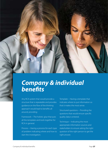<span id="page-26-0"></span>*Company & individual benefits*

Any RCA system that would provide a structure that is repeatable and provides guidance on the flow of the thinking approach would lead to benefits all around, providing:

Framework -- The holistic glue that puts all the templates and tools together for RCA in general.

Process -- Having a process for each type of problem indicating where and how to start the investigation.

Template -- Having a template that indicates where to put information so that it makes the most sense.

Structured questions -- Providing the questions that would ensure specific quality data is entered.

Technique -- Indicating the most appropriate information sources and stakeholders to ensure asking the right question of the right person to get the right answer.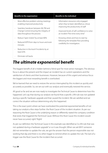<span id="page-27-0"></span>

| <b>Benefits to the organization</b>                                                                             | <b>Benefits to the individual</b>                                                                                        |
|-----------------------------------------------------------------------------------------------------------------|--------------------------------------------------------------------------------------------------------------------------|
| More effective problem solving meetings<br>enabling improved productivity                                       | - Information resources only engaged<br>when they've been identified as critical,<br>improving the productivity of staff |
| Seamless handover between IM, PM and<br>Change Control ensuring the integrity of<br>data throughout the process | Improved levels of self-confidence to solve<br>an incident "first time every time"                                       |
| Reduce "open tickets" by at least 80%                                                                           | - Knowing where and how to start by                                                                                      |
| Reduced MTR from days to hours and even<br>minutes                                                              | following the template flow providing<br>credibility for investigators                                                   |
| Reduction in the level if incidents by at<br>least 63%                                                          |                                                                                                                          |
| Eliminate roll backs                                                                                            |                                                                                                                          |
|                                                                                                                 |                                                                                                                          |

#### *The ultimate exponential benefit*

The biggest benefit of all is hidden behind a 'blind spot' for most senior managers. The obvious focus is about the present and the impact an incident has on current operations and the satisfaction of clients and their businesses. However, because of this urgent and serious focus the biggest and most rewarding benefit is overlooked.

We've learned that we need to restore the service interrupted by this incident as quickly and accurately as possible. So, we set out with our analysis and eventually restored the service.

All good so far and we are now ready to investigate the Technical Cause to determine how this happened. Let's say that during our analysis we found that a specific LAN rule was not updated during a specific hardware upgrade and that caused the incident. We are satisfied and we correct the situation without determining why this happened.

This is the exact point where we have overlooked the potential exponential benefits of not taking our analysis a few steps further: the Root Cause of the incident situation. As per our reasoning the Root Cause is the underlying reason or differently stated the company condition that exists that triggered the Technical Cause. Without this Root Cause this incident would never have occurred, right? Right!

As per our definition the Technical Cause in this example was identified as "a LAN rule that was not updated during a hardware upgrade" or so it was thought. When we ask WHY someone did not remember to update the rule, we got the answer that the person responsible was not working that day and there is no other trigger to remind others to update the rule. The lack of a trigger was the Root Cause for the incident that occurred.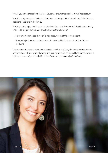Would you agree that solving the Root Cause will ensure that incident #1 will not reoccur?

Would you agree that the Technical Cause (not updating a LAN rule) could possibly also cause additional incidents in the future?

Would you also agree that if we solved the Root Cause the first time and fixed it permanently (installed a trigger) that we now effectively done the following?

- Have an action in place that would stop a recurrence of the same incident.
- Have a single but same action in place that would effectively avoid additional future incidents.

The situation provides an exponential benefit, which is very likely the single most important and beneficial advantage of educating and training an in-house capability to handle incidents quickly (restoration), accurately (Technical Cause) and permanently (Root Cause).

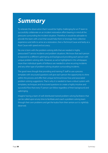## <span id="page-29-0"></span>*Summary*

To reiterate the observation that it would be highly challenging for an IT team to successfully collaborate on an incident restoration effort bearing in mind all the pressures surrounding the incident situation. Therefore, it would be advisable to provide the team with a tool that would help them to leverage their collective experience and skills to arrive at a restoration, then a Technical Cause and lastly at a Root Cause with speed and accuracy.

No one is born with the problem-solving skills that are needed in highly pressurized IT service incidents and problem situations. We know that each person is exposed to a different upbringing and background providing each person with unique problem-solving skills. However, as we've highlighted in this whitepaper, more than individual sparks of brilliance are needed to solve recurring incidents and any other type of problem-solving situation surrounding incidents.

The good news though that providing and training IT staff to use a process template with structured questions will give each person the opportunity to shine within the process and offer their unique technical know-how and associated problem solving suggestions. That is why it is needed to have a robust system with templates, techniques and structured questions to create a highly intuitive and successful flow that every IT person can follow regardless of their background and upbringing.

Imagine having a team of well-distributed trained problem solving facilitators that can be called upon at any time to facilitate and coach a problem solving team through their own problems and get the kudos from their seniors as it is rightfully deserved.